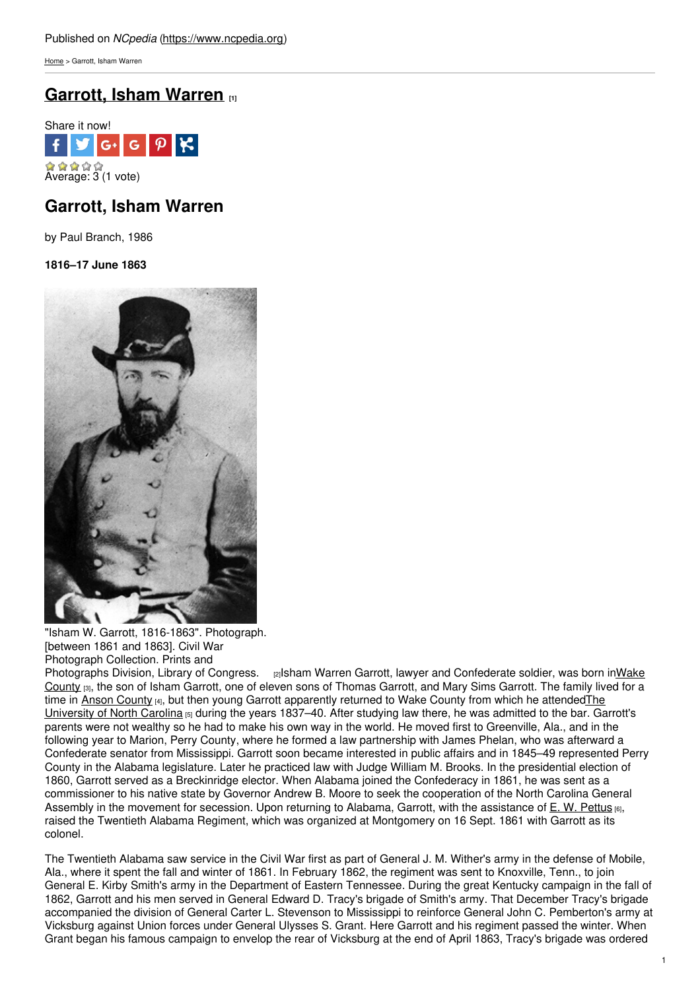[Home](https://www.ncpedia.org/) > Garrott, Isham Warren

# **[Garrott,](https://www.ncpedia.org/biography/garrott-isham-warren) Isham Warren [1]**



# **Garrott, Isham Warren**

by Paul Branch, 1986

**1816–17 June 1863**



"Isham W. Garrott, 1816-1863". Photograph. [between 1861 and 1863]. Civil War Photograph Collection. Prints and

[Photographs](https://www.ncpedia.org/geography/wake) Division, Library of Congress. [2] alsham Warren Garrott, lawyer and Confederate soldier, was born inWake County [3], the son of Isham Garrott, one of eleven sons of Thomas Garrott, and Mary Sims Garrott. The family lived for a time in Anson [County](https://www.ncpedia.org/geography/anson) [4], but then young Garrott apparently returned to Wake County from which he [attendedThe](https://www.ncpedia.org/university-north-carolina-chapel-hi) University of North Carolina  $_{[5]}$  during the years 1837–40. After studying law there, he was admitted to the bar. Garrott's parents were not wealthy so he had to make his own way in the world. He moved first to Greenville, Ala., and in the following year to Marion, Perry County, where he formed a law partnership with James Phelan, who was afterward a Confederate senator from Mississippi. Garrott soon became interested in public affairs and in 1845–49 represented Perry County in the Alabama legislature. Later he practiced law with Judge William M. Brooks. In the presidential election of 1860, Garrott served as a Breckinridge elector. When Alabama joined the Confederacy in 1861, he was sent as a commissioner to his native state by Governor Andrew B. Moore to seek the cooperation of the North Carolina General Assembly in the movement for secession. Upon returning to Alabama, Garrott, with the assistance of E. W. [Pettus](http://www.encyclopediaofalabama.org/face/Article.jsp?id=h-2962) [6], raised the Twentieth Alabama Regiment, which was organized at Montgomery on 16 Sept. 1861 with Garrott as its colonel.

The Twentieth Alabama saw service in the Civil War first as part of General J. M. Wither's army in the defense of Mobile, Ala., where it spent the fall and winter of 1861. In February 1862, the regiment was sent to Knoxville, Tenn., to join General E. Kirby Smith's army in the Department of Eastern Tennessee. During the great Kentucky campaign in the fall of 1862, Garrott and his men served in General Edward D. Tracy's brigade of Smith's army. That December Tracy's brigade accompanied the division of General Carter L. Stevenson to Mississippi to reinforce General John C. Pemberton's army at Vicksburg against Union forces under General Ulysses S. Grant. Here Garrott and his regiment passed the winter. When Grant began his famous campaign to envelop the rear of Vicksburg at the end of April 1863, Tracy's brigade was ordered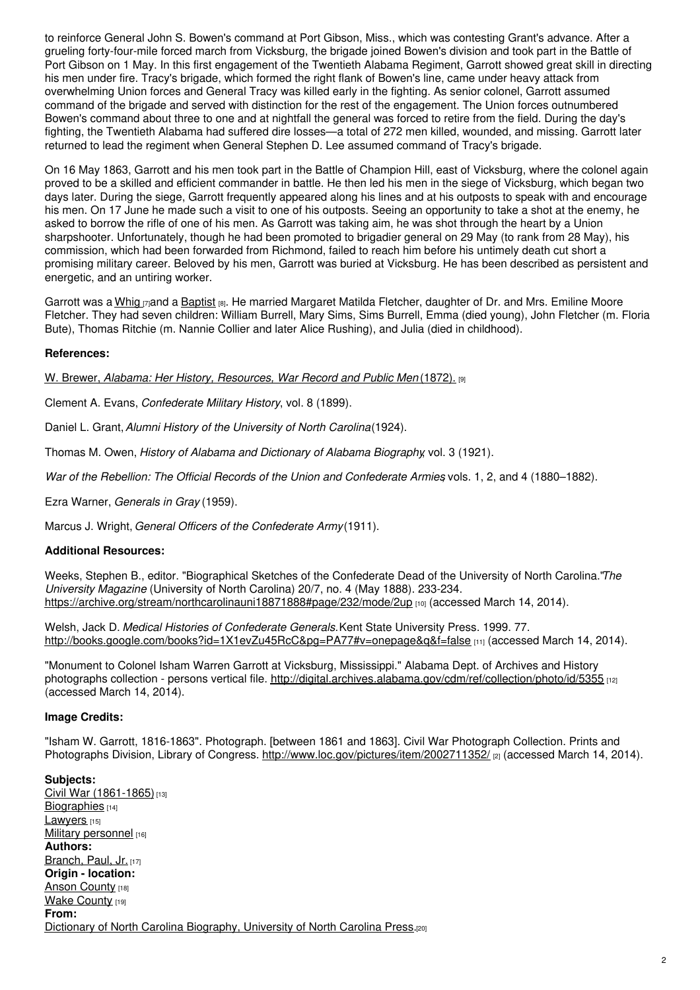to reinforce General John S. Bowen's command at Port Gibson, Miss., which was contesting Grant's advance. After a grueling forty-four-mile forced march from Vicksburg, the brigade joined Bowen's division and took part in the Battle of Port Gibson on 1 May. In this first engagement of the Twentieth Alabama Regiment, Garrott showed great skill in directing his men under fire. Tracy's brigade, which formed the right flank of Bowen's line, came under heavy attack from overwhelming Union forces and General Tracy was killed early in the fighting. As senior colonel, Garrott assumed command of the brigade and served with distinction for the rest of the engagement. The Union forces outnumbered Bowen's command about three to one and at nightfall the general was forced to retire from the field. During the day's fighting, the Twentieth Alabama had suffered dire losses—a total of 272 men killed, wounded, and missing. Garrott later returned to lead the regiment when General Stephen D. Lee assumed command of Tracy's brigade.

On 16 May 1863, Garrott and his men took part in the Battle of Champion Hill, east of Vicksburg, where the colonel again proved to be a skilled and efficient commander in battle. He then led his men in the siege of Vicksburg, which began two days later. During the siege, Garrott frequently appeared along his lines and at his outposts to speak with and encourage his men. On 17 June he made such a visit to one of his outposts. Seeing an opportunity to take a shot at the enemy, he asked to borrow the rifle of one of his men. As Garrott was taking aim, he was shot through the heart by a Union sharpshooter. Unfortunately, though he had been promoted to brigadier general on 29 May (to rank from 28 May), his commission, which had been forwarded from Richmond, failed to reach him before his untimely death cut short a promising military career. Beloved by his men, Garrott was buried at Vicksburg. He has been described as persistent and energetic, and an untiring worker.

Garrott was a [Whig](https://www.ncpedia.org/whig-party) mand a [Baptist](https://www.ncpedia.org/baptists) [8]. He married Margaret Matilda Fletcher, daughter of Dr. and Mrs. Emiline Moore Fletcher. They had seven children: William Burrell, Mary Sims, Sims Burrell, Emma (died young), John Fletcher (m. Floria Bute), Thomas Ritchie (m. Nannie Collier and later Alice Rushing), and Julia (died in childhood).

### **References:**

W. Brewer, *Alabama: Her History, [Resources,](https://archive.org/stream/alabamaherhisto00brewgoog#page/n502/mode/2up) War Record and Public Men* (1872). [9]

Clement A. Evans, *Confederate Military History*, vol. 8 (1899).

Daniel L. Grant,*Alumni History of the University of North Carolina*(1924).

Thomas M. Owen, *History of Alabama and Dictionary of Alabama Biography*, vol. 3 (1921).

*War of the Rebellion: The Official Records of the Union and Confederate Armies*, vols. 1, 2, and 4 (1880–1882).

Ezra Warner, *Generals in Gray* (1959).

Marcus J. Wright, *General Officers of the Confederate Army*(1911).

### **Additional Resources:**

Weeks, Stephen B., editor. "Biographical Sketches of the Confederate Dead of the University of North Carolina."*The University Magazine* (University of North Carolina) 20/7, no. 4 (May 1888). 233-234. <https://archive.org/stream/northcarolinauni18871888#page/232/mode/2up> [10] (accessed March 14, 2014).

Welsh, Jack D. *Medical Histories of Confederate Generals.*Kent State University Press. 1999. 77. <http://books.google.com/books?id=1X1evZu45RcC&pg=PA77#v=onepage&q&f=false> [11] (accessed March 14, 2014).

"Monument to Colonel Isham Warren Garrott at Vicksburg, Mississippi." Alabama Dept. of Archives and History photographs collection - persons vertical file. <http://digital.archives.alabama.gov/cdm/ref/collection/photo/id/5355> [12] (accessed March 14, 2014).

#### **Image Credits:**

"Isham W. Garrott, 1816-1863". Photograph. [between 1861 and 1863]. Civil War Photograph Collection. Prints and Photographs Division, Library of Congress. <http://www.loc.gov/pictures/item/2002711352/> <sub>[2]</sub> (accessed March 14, 2014).

**Subjects:** Civil War [\(1861-1865\)](https://www.ncpedia.org/category/subjects/civil-war)<sup>[13]</sup> [Biographies](https://www.ncpedia.org/category/subjects/biography-term) [14] [Lawyers](https://www.ncpedia.org/category/subjects/lawyers) [15] Military [personnel](https://www.ncpedia.org/category/subjects/soldiers) [16] **Authors:** [Branch,](https://www.ncpedia.org/category/authors/branch-paul-jr) Paul, Jr. [17] **Origin - location:** Anson [County](https://www.ncpedia.org/category/origin-location/piedmon-25) [18] Wake [County](https://www.ncpedia.org/category/origin-location/piedmont/w) [19] **From:** Dictionary of North Carolina [Biography,](https://www.ncpedia.org/category/entry-source/dictionary-no) University of North Carolina Press.[20]